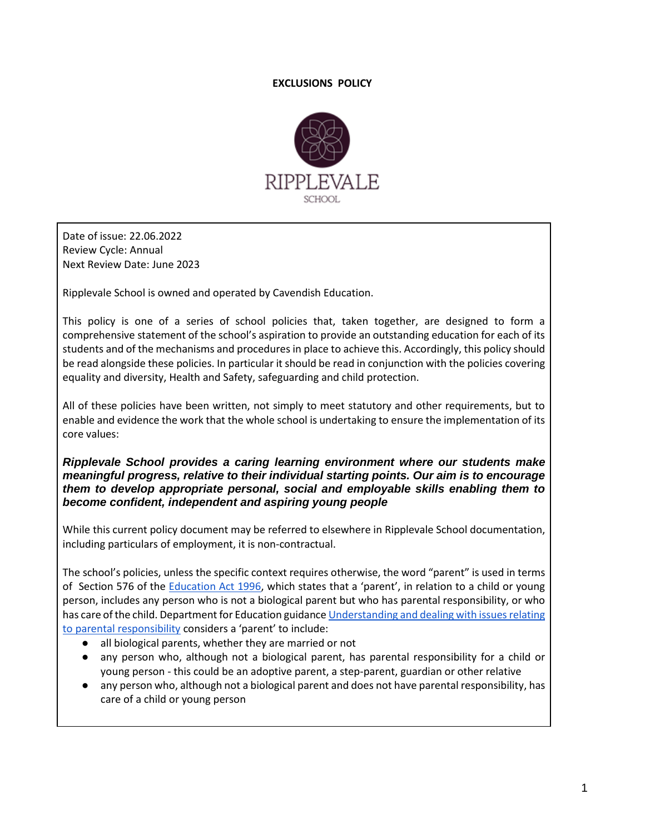# **EXCLUSIONS POLICY**



Date of issue: 22.06.2022 Review Cycle: Annual Next Review Date: June 2023

Ripplevale School is owned and operated by Cavendish Education.

This policy is one of a series of school policies that, taken together, are designed to form a comprehensive statement of the school's aspiration to provide an outstanding education for each of its students and of the mechanisms and procedures in place to achieve this. Accordingly, this policy should be read alongside these policies. In particular it should be read in conjunction with the policies covering equality and diversity, Health and Safety, safeguarding and child protection.

All of these policies have been written, not simply to meet statutory and other requirements, but to enable and evidence the work that the whole school is undertaking to ensure the implementation of its core values:

*Ripplevale School provides a caring learning environment where our students make meaningful progress, relative to their individual starting points. Our aim is to encourage them to develop appropriate personal, social and employable skills enabling them to become confident, independent and aspiring young people*

While this current policy document may be referred to elsewhere in Ripplevale School documentation, including particulars of employment, it is non-contractual.

The school's policies, unless the specific context requires otherwise, the word "parent" is used in terms of Section 576 of the [Education Act 1996](https://www.legislation.gov.uk/ukpga/1996/56/contents), which states that a 'parent', in relation to a child or young person, includes any person who is not a biological parent but who has parental responsibility, or who has care of the child. Department for Education guidanc[e Understanding and dealing with issues relating](https://www.gov.uk/government/publications/dealing-with-issues-relating-to-parental-responsibility/understanding-and-dealing-with-issues-relating-to-parental-responsibility)  [to parental responsibility](https://www.gov.uk/government/publications/dealing-with-issues-relating-to-parental-responsibility/understanding-and-dealing-with-issues-relating-to-parental-responsibility) considers a 'parent' to include:

- all biological parents, whether they are married or not
- any person who, although not a biological parent, has parental responsibility for a child or young person - this could be an adoptive parent, a step-parent, guardian or other relative
- any person who, although not a biological parent and does not have parental responsibility, has care of a child or young person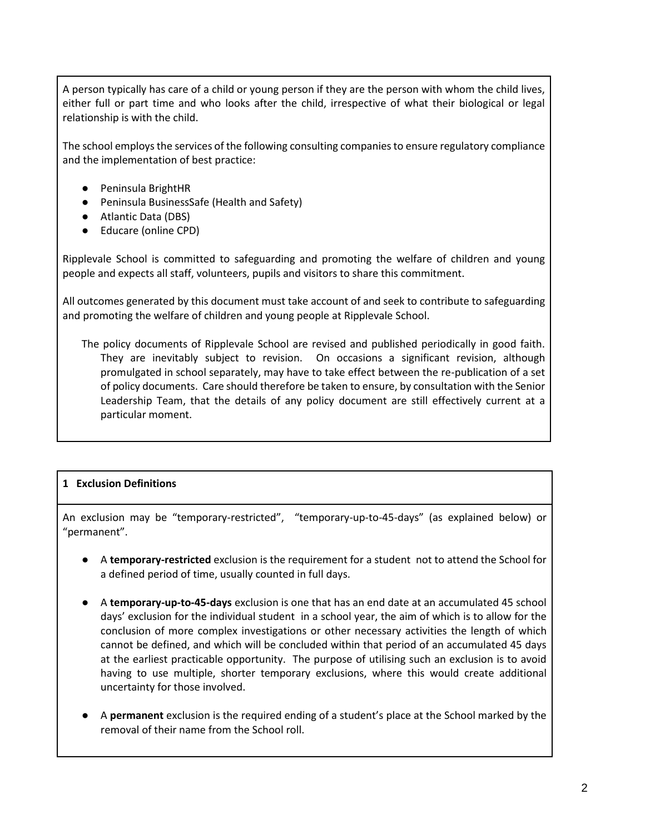A person typically has care of a child or young person if they are the person with whom the child lives, either full or part time and who looks after the child, irrespective of what their biological or legal relationship is with the child.

The school employs the services of the following consulting companies to ensure regulatory compliance and the implementation of best practice:

- Peninsula BrightHR
- Peninsula BusinessSafe (Health and Safety)
- Atlantic Data (DBS)
- Educare (online CPD)

Ripplevale School is committed to safeguarding and promoting the welfare of children and young people and expects all staff, volunteers, pupils and visitors to share this commitment.

All outcomes generated by this document must take account of and seek to contribute to safeguarding and promoting the welfare of children and young people at Ripplevale School.

The policy documents of Ripplevale School are revised and published periodically in good faith. They are inevitably subject to revision. On occasions a significant revision, although promulgated in school separately, may have to take effect between the re-publication of a set of policy documents. Care should therefore be taken to ensure, by consultation with the Senior Leadership Team, that the details of any policy document are still effectively current at a particular moment.

# **1 Exclusion Definitions**

An exclusion may be "temporary-restricted", "temporary-up-to-45-days" (as explained below) or "permanent".

- A **temporary-restricted** exclusion is the requirement for a student not to attend the School for a defined period of time, usually counted in full days.
- A **temporary-up-to-45-days** exclusion is one that has an end date at an accumulated 45 school days' exclusion for the individual student in a school year, the aim of which is to allow for the conclusion of more complex investigations or other necessary activities the length of which cannot be defined, and which will be concluded within that period of an accumulated 45 days at the earliest practicable opportunity. The purpose of utilising such an exclusion is to avoid having to use multiple, shorter temporary exclusions, where this would create additional uncertainty for those involved.
- A **permanent** exclusion is the required ending of a student's place at the School marked by the removal of their name from the School roll.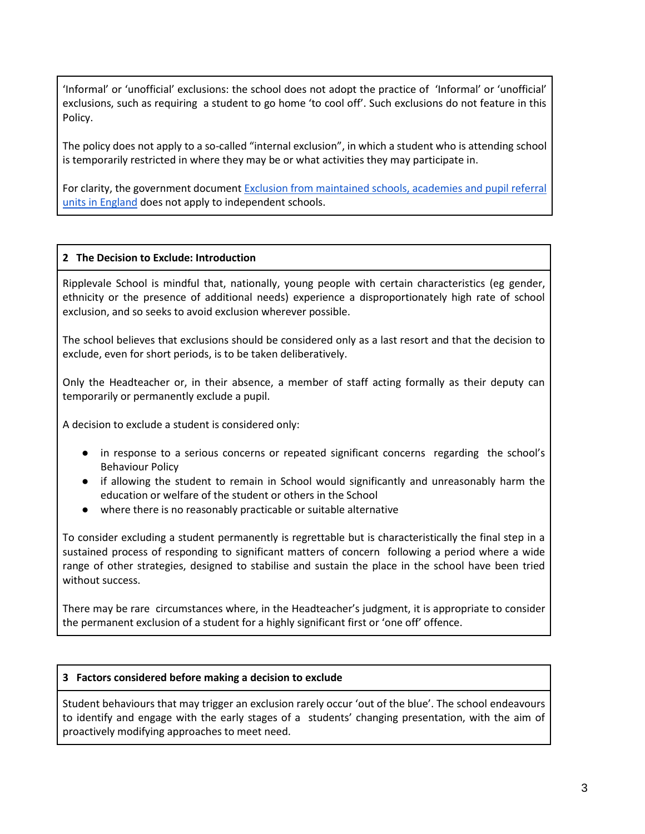'Informal' or 'unofficial' exclusions: the school does not adopt the practice of 'Informal' or 'unofficial' exclusions, such as requiring a student to go home 'to cool off'. Such exclusions do not feature in this Policy.

The policy does not apply to a so-called "internal exclusion", in which a student who is attending school is temporarily restricted in where they may be or what activities they may participate in.

For clarity, the government document [Exclusion from maintained schools, academies and pupil referral](https://assets.publishing.service.gov.uk/government/uploads/system/uploads/attachment_data/file/641418/20170831_Exclusion_Stat_guidance_Web_version.pdf)  [units in England](https://assets.publishing.service.gov.uk/government/uploads/system/uploads/attachment_data/file/641418/20170831_Exclusion_Stat_guidance_Web_version.pdf) does not apply to independent schools.

# **2 The Decision to Exclude: Introduction**

Ripplevale School is mindful that, nationally, young people with certain characteristics (eg gender, ethnicity or the presence of additional needs) experience a disproportionately high rate of school exclusion, and so seeks to avoid exclusion wherever possible.

The school believes that exclusions should be considered only as a last resort and that the decision to exclude, even for short periods, is to be taken deliberatively.

Only the Headteacher or, in their absence, a member of staff acting formally as their deputy can temporarily or permanently exclude a pupil.

A decision to exclude a student is considered only:

- in response to a serious concerns or repeated significant concerns regarding the school's Behaviour Policy
- if allowing the student to remain in School would significantly and unreasonably harm the education or welfare of the student or others in the School
- where there is no reasonably practicable or suitable alternative

To consider excluding a student permanently is regrettable but is characteristically the final step in a sustained process of responding to significant matters of concern following a period where a wide range of other strategies, designed to stabilise and sustain the place in the school have been tried without success.

There may be rare circumstances where, in the Headteacher's judgment, it is appropriate to consider the permanent exclusion of a student for a highly significant first or 'one off' offence.

## **3 Factors considered before making a decision to exclude**

Student behaviours that may trigger an exclusion rarely occur 'out of the blue'. The school endeavours to identify and engage with the early stages of a students' changing presentation, with the aim of proactively modifying approaches to meet need.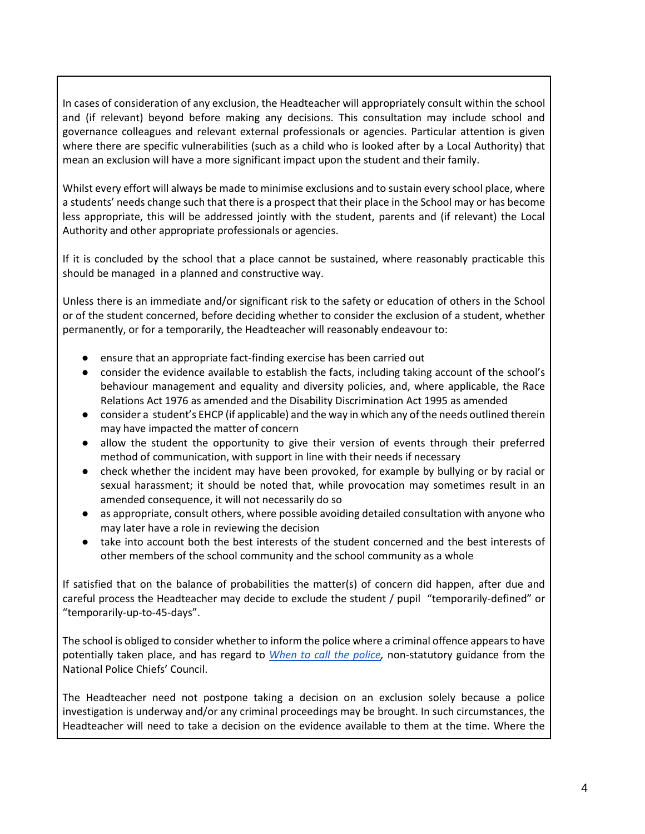In cases of consideration of any exclusion, the Headteacher will appropriately consult within the school and (if relevant) beyond before making any decisions. This consultation may include school and governance colleagues and relevant external professionals or agencies. Particular attention is given where there are specific vulnerabilities (such as a child who is looked after by a Local Authority) that mean an exclusion will have a more significant impact upon the student and their family.

Whilst every effort will always be made to minimise exclusions and to sustain every school place, where a students' needs change such that there is a prospect that their place in the School may or has become less appropriate, this will be addressed jointly with the student, parents and (if relevant) the Local Authority and other appropriate professionals or agencies.

If it is concluded by the school that a place cannot be sustained, where reasonably practicable this should be managed in a planned and constructive way.

Unless there is an immediate and/or significant risk to the safety or education of others in the School or of the student concerned, before deciding whether to consider the exclusion of a student, whether permanently, or for a temporarily, the Headteacher will reasonably endeavour to:

- ensure that an appropriate fact-finding exercise has been carried out
- consider the evidence available to establish the facts, including taking account of the school's behaviour management and equality and diversity policies, and, where applicable, the Race Relations Act 1976 as amended and the Disability Discrimination Act 1995 as amended
- consider a student's EHCP (if applicable) and the way in which any of the needs outlined therein may have impacted the matter of concern
- allow the student the opportunity to give their version of events through their preferred method of communication, with support in line with their needs if necessary
- check whether the incident may have been provoked, for example by bullying or by racial or sexual harassment; it should be noted that, while provocation may sometimes result in an amended consequence, it will not necessarily do so
- as appropriate, consult others, where possible avoiding detailed consultation with anyone who may later have a role in reviewing the decision
- take into account both the best interests of the student concerned and the best interests of other members of the school community and the school community as a whole

If satisfied that on the balance of probabilities the matter(s) of concern did happen, after due and careful process the Headteacher may decide to exclude the student / pupil "temporarily-defined" or "temporarily-up-to-45-days".

The school is obliged to consider whether to inform the police where a criminal offence appears to have potentially taken place, and has regard to *[When to call the police,](https://www.npcc.police.uk/documents/Children%20and%20Young%20people/When%20to%20call%20the%20police%20guidance%20for%20schools%20and%20colleges.pdf)* non-statutory guidance from the National Police Chiefs' Council.

The Headteacher need not postpone taking a decision on an exclusion solely because a police investigation is underway and/or any criminal proceedings may be brought. In such circumstances, the Headteacher will need to take a decision on the evidence available to them at the time. Where the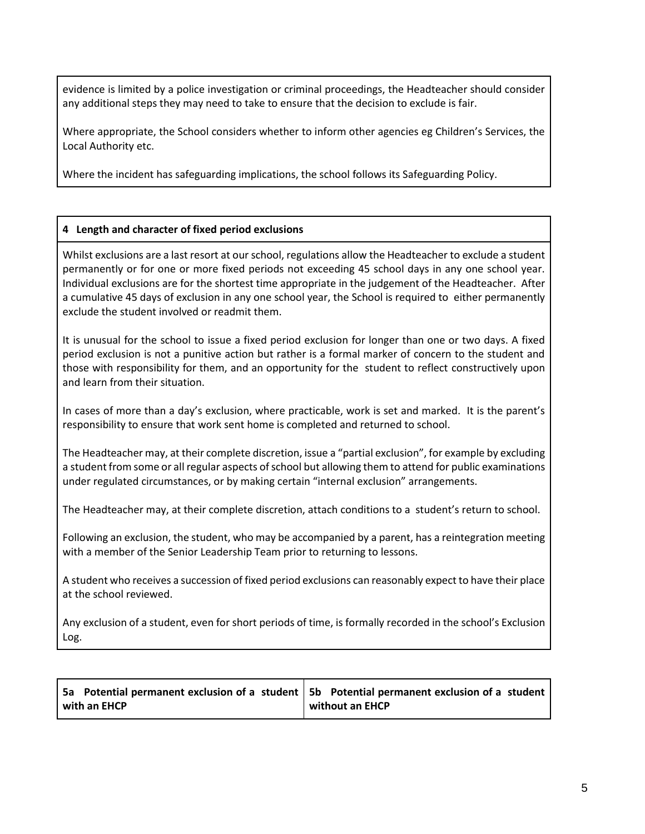evidence is limited by a police investigation or criminal proceedings, the Headteacher should consider any additional steps they may need to take to ensure that the decision to exclude is fair.

Where appropriate, the School considers whether to inform other agencies eg Children's Services, the Local Authority etc.

Where the incident has safeguarding implications, the school follows its Safeguarding Policy.

# **4 Length and character of fixed period exclusions**

Whilst exclusions are a last resort at our school, regulations allow the Headteacher to exclude a student permanently or for one or more fixed periods not exceeding 45 school days in any one school year. Individual exclusions are for the shortest time appropriate in the judgement of the Headteacher. After a cumulative 45 days of exclusion in any one school year, the School is required to either permanently exclude the student involved or readmit them.

It is unusual for the school to issue a fixed period exclusion for longer than one or two days. A fixed period exclusion is not a punitive action but rather is a formal marker of concern to the student and those with responsibility for them, and an opportunity for the student to reflect constructively upon and learn from their situation.

In cases of more than a day's exclusion, where practicable, work is set and marked. It is the parent's responsibility to ensure that work sent home is completed and returned to school.

The Headteacher may, at their complete discretion, issue a "partial exclusion", for example by excluding a student from some or all regular aspects of school but allowing them to attend for public examinations under regulated circumstances, or by making certain "internal exclusion" arrangements.

The Headteacher may, at their complete discretion, attach conditions to a student's return to school.

Following an exclusion, the student, who may be accompanied by a parent, has a reintegration meeting with a member of the Senior Leadership Team prior to returning to lessons.

A student who receives a succession of fixed period exclusions can reasonably expect to have their place at the school reviewed.

Any exclusion of a student, even for short periods of time, is formally recorded in the school's Exclusion Log.

| 5a Potential permanent exclusion of a student   5b Potential permanent exclusion of a student |                 |
|-----------------------------------------------------------------------------------------------|-----------------|
| with an EHCP                                                                                  | without an EHCP |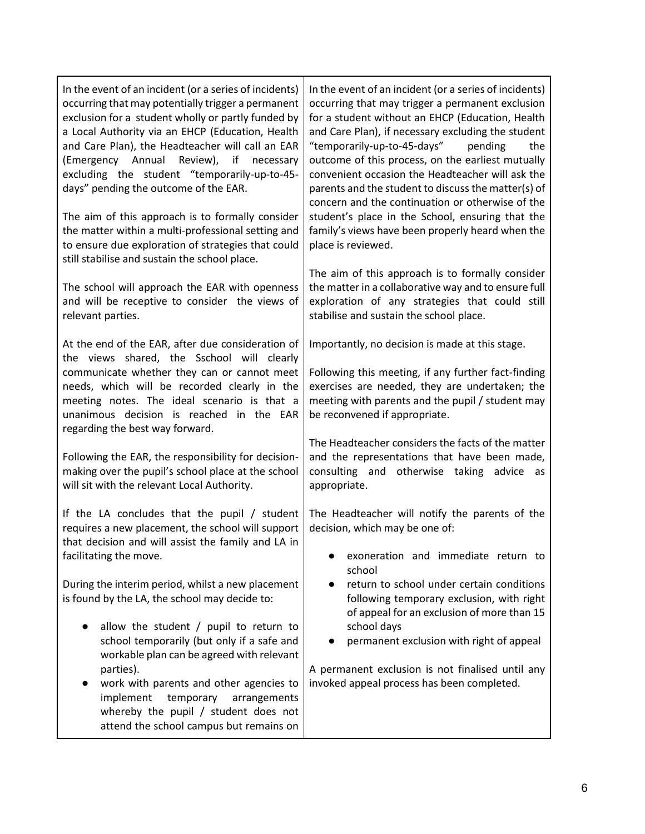| In the event of an incident (or a series of incidents)<br>occurring that may potentially trigger a permanent<br>exclusion for a student wholly or partly funded by<br>a Local Authority via an EHCP (Education, Health<br>and Care Plan), the Headteacher will call an EAR<br>(Emergency Annual Review), if necessary<br>excluding the student "temporarily-up-to-45-<br>days" pending the outcome of the EAR.<br>The aim of this approach is to formally consider | In the event of an incident (or a series of incidents)<br>occurring that may trigger a permanent exclusion<br>for a student without an EHCP (Education, Health<br>and Care Plan), if necessary excluding the student<br>"temporarily-up-to-45-days"<br>the<br>pending<br>outcome of this process, on the earliest mutually<br>convenient occasion the Headteacher will ask the<br>parents and the student to discuss the matter(s) of<br>concern and the continuation or otherwise of the<br>student's place in the School, ensuring that the |
|--------------------------------------------------------------------------------------------------------------------------------------------------------------------------------------------------------------------------------------------------------------------------------------------------------------------------------------------------------------------------------------------------------------------------------------------------------------------|-----------------------------------------------------------------------------------------------------------------------------------------------------------------------------------------------------------------------------------------------------------------------------------------------------------------------------------------------------------------------------------------------------------------------------------------------------------------------------------------------------------------------------------------------|
| the matter within a multi-professional setting and<br>to ensure due exploration of strategies that could<br>still stabilise and sustain the school place.                                                                                                                                                                                                                                                                                                          | family's views have been properly heard when the<br>place is reviewed.                                                                                                                                                                                                                                                                                                                                                                                                                                                                        |
| The school will approach the EAR with openness<br>and will be receptive to consider the views of<br>relevant parties.                                                                                                                                                                                                                                                                                                                                              | The aim of this approach is to formally consider<br>the matter in a collaborative way and to ensure full<br>exploration of any strategies that could still<br>stabilise and sustain the school place.                                                                                                                                                                                                                                                                                                                                         |
| At the end of the EAR, after due consideration of<br>the views shared, the Sschool will clearly<br>communicate whether they can or cannot meet<br>needs, which will be recorded clearly in the<br>meeting notes. The ideal scenario is that a<br>unanimous decision is reached in the EAR<br>regarding the best way forward.                                                                                                                                       | Importantly, no decision is made at this stage.<br>Following this meeting, if any further fact-finding<br>exercises are needed, they are undertaken; the<br>meeting with parents and the pupil / student may<br>be reconvened if appropriate.                                                                                                                                                                                                                                                                                                 |
| Following the EAR, the responsibility for decision-<br>making over the pupil's school place at the school<br>will sit with the relevant Local Authority.                                                                                                                                                                                                                                                                                                           | The Headteacher considers the facts of the matter<br>and the representations that have been made,<br>consulting and otherwise taking advice as<br>appropriate.                                                                                                                                                                                                                                                                                                                                                                                |
| If the LA concludes that the pupil / student<br>requires a new placement, the school will support<br>that decision and will assist the family and LA in<br>facilitating the move.                                                                                                                                                                                                                                                                                  | The Headteacher will notify the parents of the<br>decision, which may be one of:<br>exoneration and immediate return to<br>school                                                                                                                                                                                                                                                                                                                                                                                                             |
| During the interim period, whilst a new placement<br>is found by the LA, the school may decide to:                                                                                                                                                                                                                                                                                                                                                                 | return to school under certain conditions<br>$\bullet$<br>following temporary exclusion, with right<br>of appeal for an exclusion of more than 15                                                                                                                                                                                                                                                                                                                                                                                             |
| allow the student / pupil to return to<br>school temporarily (but only if a safe and<br>workable plan can be agreed with relevant                                                                                                                                                                                                                                                                                                                                  | school days<br>permanent exclusion with right of appeal                                                                                                                                                                                                                                                                                                                                                                                                                                                                                       |
| parties).<br>work with parents and other agencies to<br>implement<br>temporary<br>arrangements<br>whereby the pupil / student does not<br>attend the school campus but remains on                                                                                                                                                                                                                                                                                  | A permanent exclusion is not finalised until any<br>invoked appeal process has been completed.                                                                                                                                                                                                                                                                                                                                                                                                                                                |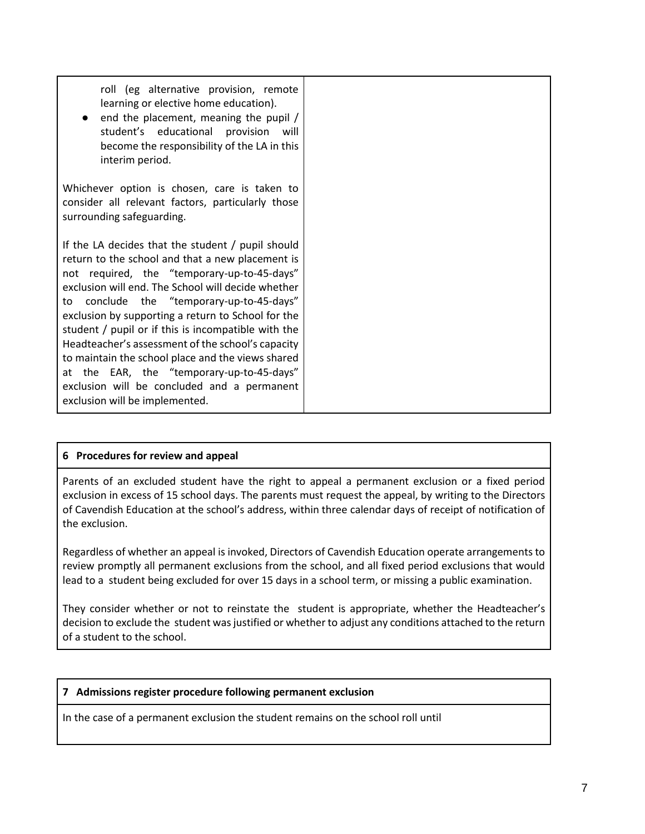roll (eg alternative provision, remote learning or elective home education). end the placement, meaning the pupil  $/$ student's educational provision will become the responsibility of the LA in this interim period. Whichever option is chosen, care is taken to consider all relevant factors, particularly those surrounding safeguarding. If the LA decides that the student / pupil should return to the school and that a new placement is not required, the "temporary-up-to-45-days" exclusion will end. The School will decide whether to conclude the "temporary-up-to-45-days" exclusion by supporting a return to School for the student / pupil or if this is incompatible with the Headteacher's assessment of the school's capacity to maintain the school place and the views shared at the EAR, the "temporary-up-to-45-days" exclusion will be concluded and a permanent exclusion will be implemented.

# **6 Procedures for review and appeal**

Parents of an excluded student have the right to appeal a permanent exclusion or a fixed period exclusion in excess of 15 school days. The parents must request the appeal, by writing to the Directors of Cavendish Education at the school's address, within three calendar days of receipt of notification of the exclusion.

Regardless of whether an appeal is invoked, Directors of Cavendish Education operate arrangements to review promptly all permanent exclusions from the school, and all fixed period exclusions that would lead to a student being excluded for over 15 days in a school term, or missing a public examination.

They consider whether or not to reinstate the student is appropriate, whether the Headteacher's decision to exclude the student was justified or whether to adjust any conditions attached to the return of a student to the school.

## **7 Admissions register procedure following permanent exclusion**

In the case of a permanent exclusion the student remains on the school roll until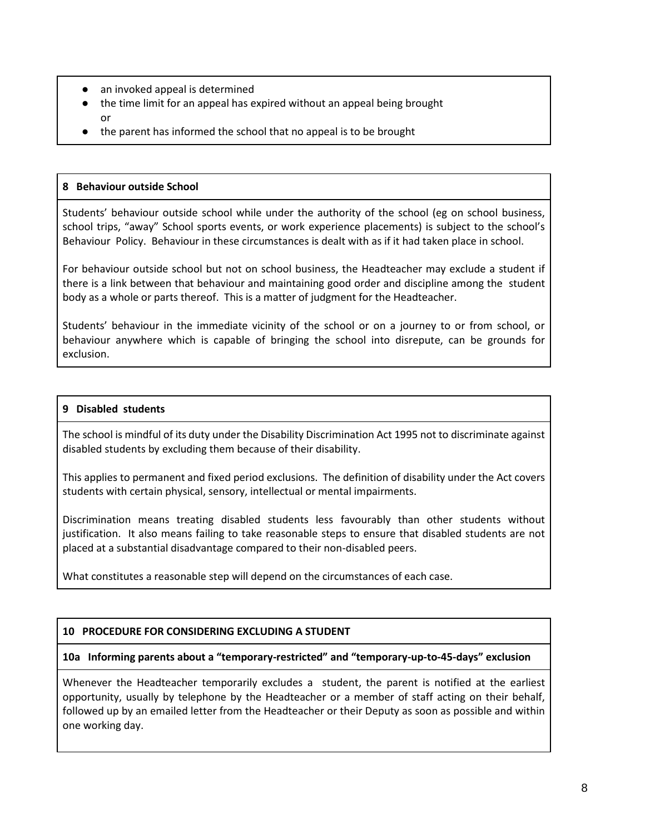- an invoked appeal is determined
- the time limit for an appeal has expired without an appeal being brought or
- the parent has informed the school that no appeal is to be brought

### **8 Behaviour outside School**

Students' behaviour outside school while under the authority of the school (eg on school business, school trips, "away" School sports events, or work experience placements) is subject to the school's Behaviour Policy. Behaviour in these circumstances is dealt with as if it had taken place in school.

For behaviour outside school but not on school business, the Headteacher may exclude a student if there is a link between that behaviour and maintaining good order and discipline among the student body as a whole or parts thereof. This is a matter of judgment for the Headteacher.

Students' behaviour in the immediate vicinity of the school or on a journey to or from school, or behaviour anywhere which is capable of bringing the school into disrepute, can be grounds for exclusion.

## **9 Disabled students**

The school is mindful of its duty under the Disability Discrimination Act 1995 not to discriminate against disabled students by excluding them because of their disability.

This applies to permanent and fixed period exclusions. The definition of disability under the Act covers students with certain physical, sensory, intellectual or mental impairments.

Discrimination means treating disabled students less favourably than other students without justification. It also means failing to take reasonable steps to ensure that disabled students are not placed at a substantial disadvantage compared to their non-disabled peers.

What constitutes a reasonable step will depend on the circumstances of each case.

## **10 PROCEDURE FOR CONSIDERING EXCLUDING A STUDENT**

## **10a Informing parents about a "temporary-restricted" and "temporary-up-to-45-days" exclusion**

Whenever the Headteacher temporarily excludes a student, the parent is notified at the earliest opportunity, usually by telephone by the Headteacher or a member of staff acting on their behalf, followed up by an emailed letter from the Headteacher or their Deputy as soon as possible and within one working day.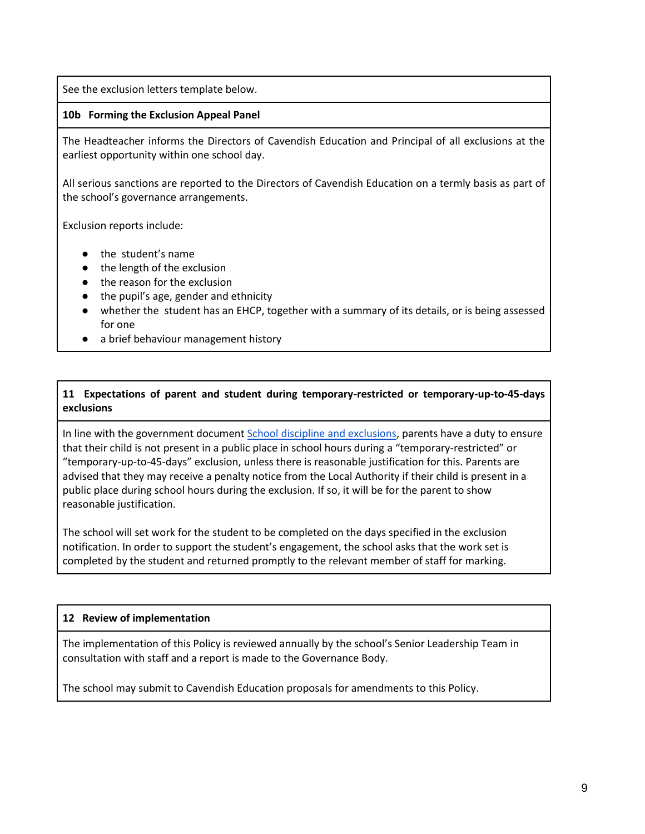See the exclusion letters template below.

# **10b Forming the Exclusion Appeal Panel**

The Headteacher informs the Directors of Cavendish Education and Principal of all exclusions at the earliest opportunity within one school day.

All serious sanctions are reported to the Directors of Cavendish Education on a termly basis as part of the school's governance arrangements.

Exclusion reports include:

- the student's name
- the length of the exclusion
- the reason for the exclusion
- the pupil's age, gender and ethnicity
- whether the student has an EHCP, together with a summary of its details, or is being assessed for one
- a brief behaviour management history

# **11 Expectations of parent and student during temporary-restricted or temporary-up-to-45-days exclusions**

In line with the government documen[t School discipline and exclusions,](https://www.gov.uk/school-discipline-exclusions/exclusions) parents have a duty to ensure that their child is not present in a public place in school hours during a "temporary-restricted" or "temporary-up-to-45-days" exclusion, unless there is reasonable justification for this. Parents are advised that they may receive a penalty notice from the Local Authority if their child is present in a public place during school hours during the exclusion. If so, it will be for the parent to show reasonable justification.

The school will set work for the student to be completed on the days specified in the exclusion notification. In order to support the student's engagement, the school asks that the work set is completed by the student and returned promptly to the relevant member of staff for marking.

## **12 Review of implementation**

The implementation of this Policy is reviewed annually by the school's Senior Leadership Team in consultation with staff and a report is made to the Governance Body.

The school may submit to Cavendish Education proposals for amendments to this Policy.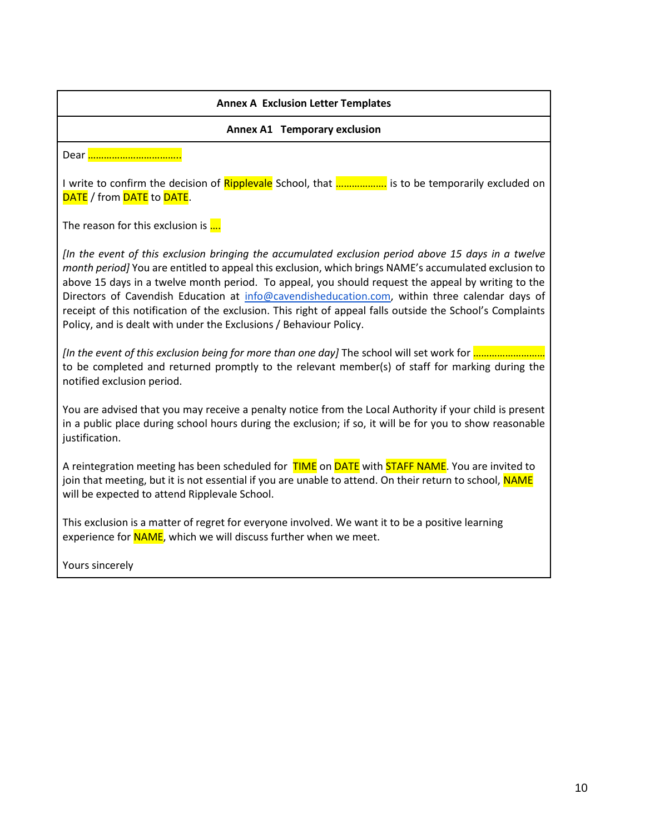# **Annex A Exclusion Letter Templates Annex A1 Temporary exclusion** Dear …………………………….. I write to confirm the decision of Ripplevale School, that ……………….. is to be temporarily excluded on DATE / from DATE to DATE. The reason for this exclusion is .... *[In the event of this exclusion bringing the accumulated exclusion period above 15 days in a twelve month period]* You are entitled to appeal this exclusion, which brings NAME's accumulated exclusion to above 15 days in a twelve month period. To appeal, you should request the appeal by writing to the Directors of Cavendish Education at [info@cavendisheducation.com,](mailto:info@cavendisheducation.com) within three calendar days of receipt of this notification of the exclusion. This right of appeal falls outside the School's Complaints Policy, and is dealt with under the Exclusions / Behaviour Policy. *[In the event of this exclusion being for more than one day]* The school will set work for ……………………… to be completed and returned promptly to the relevant member(s) of staff for marking during the notified exclusion period. You are advised that you may receive a penalty notice from the Local Authority if your child is present in a public place during school hours during the exclusion; if so, it will be for you to show reasonable justification. A reintegration meeting has been scheduled for TIME on DATE with STAFF NAME. You are invited to join that meeting, but it is not essential if you are unable to attend. On their return to school, NAME will be expected to attend Ripplevale School. This exclusion is a matter of regret for everyone involved. We want it to be a positive learning experience for **NAME**, which we will discuss further when we meet.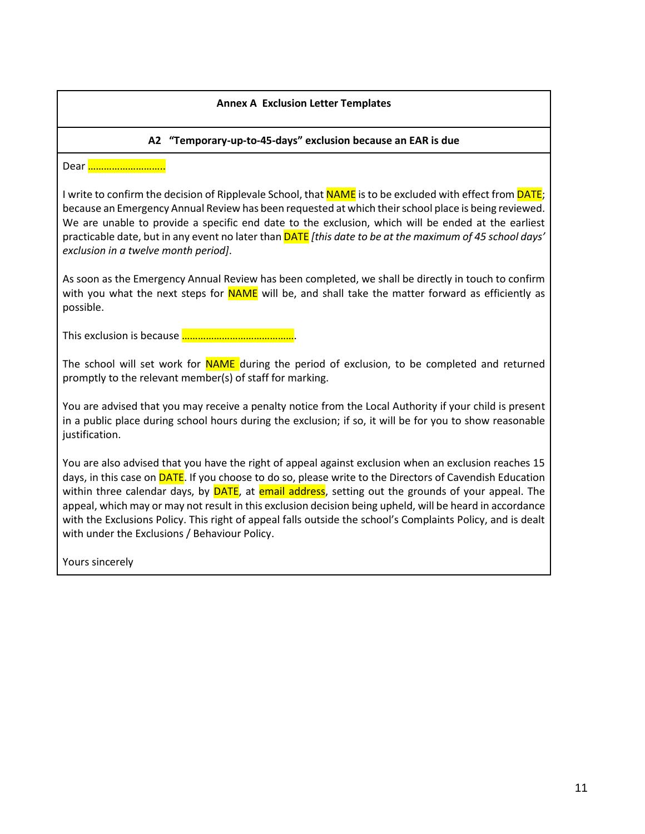# **Annex A Exclusion Letter Templates**

# **A2 "Temporary-up-to-45-days" exclusion because an EAR is due**

Dear <u>……………………</u>

I write to confirm the decision of Ripplevale School, that **NAME** is to be excluded with effect from **DATE**; because an Emergency Annual Review has been requested at which their school place is being reviewed. We are unable to provide a specific end date to the exclusion, which will be ended at the earliest practicable date, but in any event no later than DATE *[this date to be at the maximum of 45 school days' exclusion in a twelve month period]*.

As soon as the Emergency Annual Review has been completed, we shall be directly in touch to confirm with you what the next steps for NAME will be, and shall take the matter forward as efficiently as possible.

This exclusion is because …………………………………….

The school will set work for NAME during the period of exclusion, to be completed and returned promptly to the relevant member(s) of staff for marking.

You are advised that you may receive a penalty notice from the Local Authority if your child is present in a public place during school hours during the exclusion; if so, it will be for you to show reasonable justification.

You are also advised that you have the right of appeal against exclusion when an exclusion reaches 15 days, in this case on **DATE**. If you choose to do so, please write to the Directors of Cavendish Education within three calendar days, by **DATE**, at **email address**, setting out the grounds of your appeal. The appeal, which may or may not result in this exclusion decision being upheld, will be heard in accordance with the Exclusions Policy. This right of appeal falls outside the school's Complaints Policy, and is dealt with under the Exclusions / Behaviour Policy.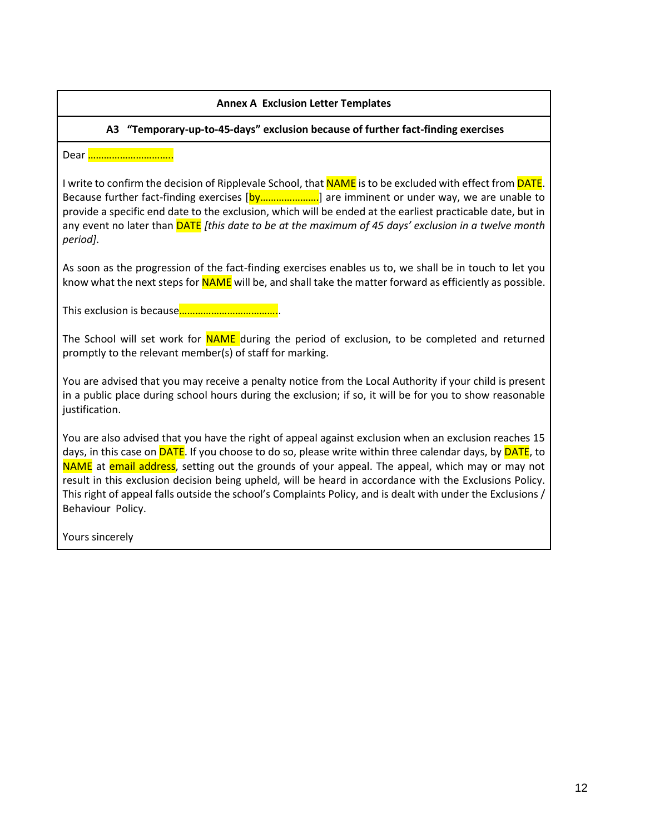# **Annex A Exclusion Letter Templates**

# **A3 "Temporary-up-to-45-days" exclusion because of further fact-finding exercises**

Dear <mark>………………………</mark>

I write to confirm the decision of Ripplevale School, that NAME is to be excluded with effect from **DATE**. Because further fact-finding exercises [by…………………..] are imminent or under way, we are unable to provide a specific end date to the exclusion, which will be ended at the earliest practicable date, but in any event no later than DATE *[this date to be at the maximum of 45 days' exclusion in a twelve month period]*.

As soon as the progression of the fact-finding exercises enables us to, we shall be in touch to let you know what the next steps for **NAME** will be, and shall take the matter forward as efficiently as possible.

This exclusion is because………………………………..

The School will set work for **NAME** during the period of exclusion, to be completed and returned promptly to the relevant member(s) of staff for marking.

You are advised that you may receive a penalty notice from the Local Authority if your child is present in a public place during school hours during the exclusion; if so, it will be for you to show reasonable justification.

You are also advised that you have the right of appeal against exclusion when an exclusion reaches 15 days, in this case on **DATE**. If you choose to do so, please write within three calendar days, by **DATE**, to NAME at email address, setting out the grounds of your appeal. The appeal, which may or may not result in this exclusion decision being upheld, will be heard in accordance with the Exclusions Policy. This right of appeal falls outside the school's Complaints Policy, and is dealt with under the Exclusions / Behaviour Policy.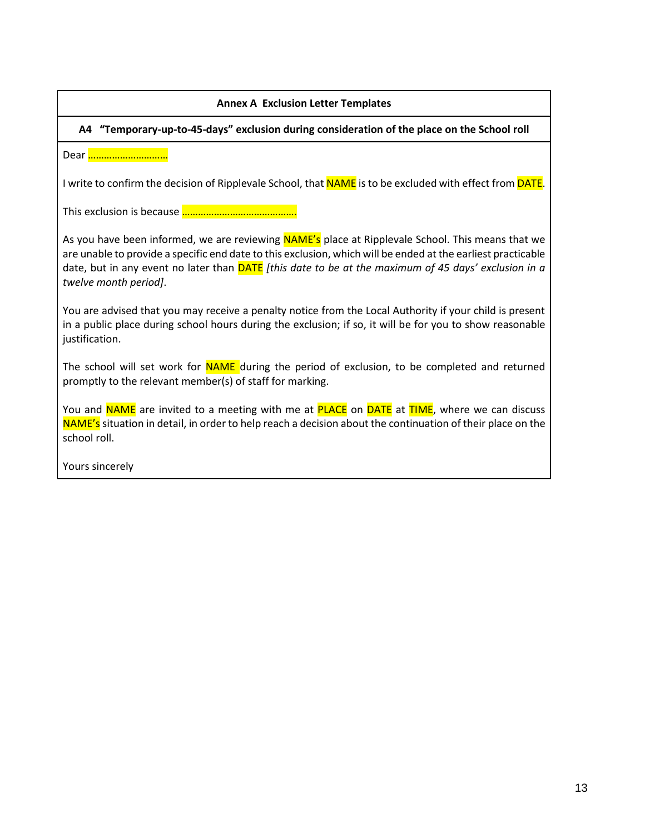| <b>Annex A Exclusion Letter Templates</b>                                                                                                                                                                                                                                                                                                          |  |
|----------------------------------------------------------------------------------------------------------------------------------------------------------------------------------------------------------------------------------------------------------------------------------------------------------------------------------------------------|--|
| A4 "Temporary-up-to-45-days" exclusion during consideration of the place on the School roll                                                                                                                                                                                                                                                        |  |
| Dear                                                                                                                                                                                                                                                                                                                                               |  |
| I write to confirm the decision of Ripplevale School, that <b>NAME</b> is to be excluded with effect from <b>DATE</b> .                                                                                                                                                                                                                            |  |
|                                                                                                                                                                                                                                                                                                                                                    |  |
| As you have been informed, we are reviewing NAME's place at Ripplevale School. This means that we<br>are unable to provide a specific end date to this exclusion, which will be ended at the earliest practicable<br>date, but in any event no later than DATE [this date to be at the maximum of 45 days' exclusion in a<br>twelve month period]. |  |
| You are advised that you may receive a penalty notice from the Local Authority if your child is present<br>in a public place during school hours during the exclusion; if so, it will be for you to show reasonable<br>justification.                                                                                                              |  |
| The school will set work for NAME during the period of exclusion, to be completed and returned<br>promptly to the relevant member(s) of staff for marking.                                                                                                                                                                                         |  |
| You and NAME are invited to a meeting with me at PLACE on DATE at TIME, where we can discuss<br>NAME's situation in detail, in order to help reach a decision about the continuation of their place on the<br>school roll.                                                                                                                         |  |
| Yours sincerely                                                                                                                                                                                                                                                                                                                                    |  |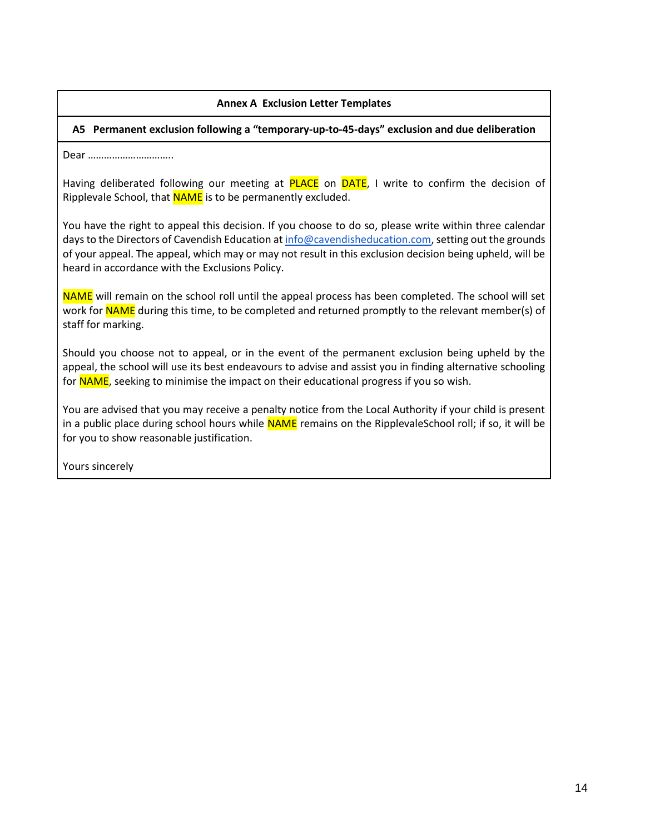## **Annex A Exclusion Letter Templates**

#### **A5 Permanent exclusion following a "temporary-up-to-45-days" exclusion and due deliberation**

Dear …………………………..

Having deliberated following our meeting at PLACE on DATE, I write to confirm the decision of Ripplevale School, that **NAME** is to be permanently excluded.

You have the right to appeal this decision. If you choose to do so, please write within three calendar days to the Directors of Cavendish Education a[t info@cavendisheducation.com,](mailto:info@cavendisheducation.com) setting out the grounds of your appeal. The appeal, which may or may not result in this exclusion decision being upheld, will be heard in accordance with the Exclusions Policy.

NAME will remain on the school roll until the appeal process has been completed. The school will set work for NAME during this time, to be completed and returned promptly to the relevant member(s) of staff for marking.

Should you choose not to appeal, or in the event of the permanent exclusion being upheld by the appeal, the school will use its best endeavours to advise and assist you in finding alternative schooling for NAME, seeking to minimise the impact on their educational progress if you so wish.

You are advised that you may receive a penalty notice from the Local Authority if your child is present in a public place during school hours while NAME remains on the RipplevaleSchool roll; if so, it will be for you to show reasonable justification.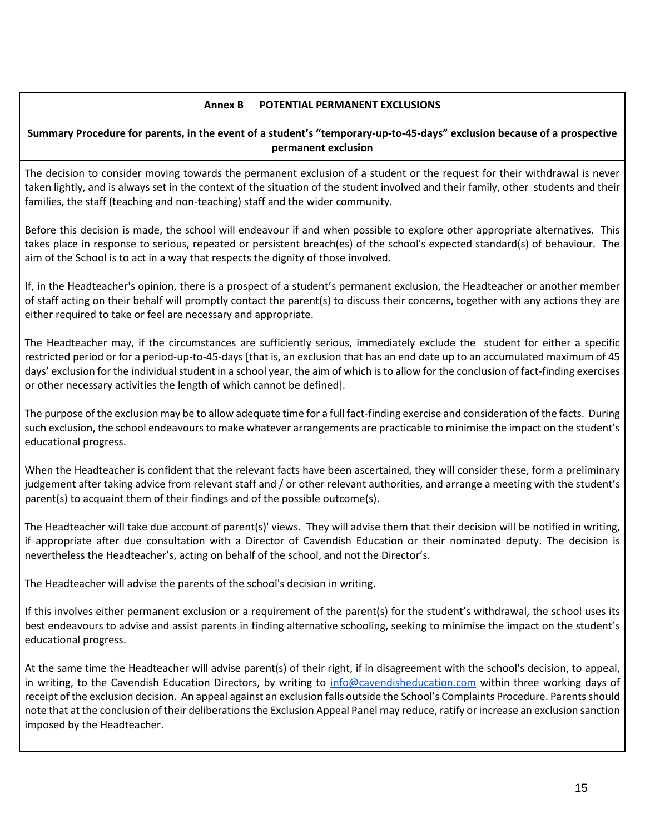# **Annex B POTENTIAL PERMANENT EXCLUSIONS**

# **Summary Procedure for parents, in the event of a student's "temporary-up-to-45-days" exclusion because of a prospective permanent exclusion**

The decision to consider moving towards the permanent exclusion of a student or the request for their withdrawal is never taken lightly, and is always set in the context of the situation of the student involved and their family, other students and their families, the staff (teaching and non-teaching) staff and the wider community.

Before this decision is made, the school will endeavour if and when possible to explore other appropriate alternatives. This takes place in response to serious, repeated or persistent breach(es) of the school's expected standard(s) of behaviour. The aim of the School is to act in a way that respects the dignity of those involved.

If, in the Headteacher's opinion, there is a prospect of a student's permanent exclusion, the Headteacher or another member of staff acting on their behalf will promptly contact the parent(s) to discuss their concerns, together with any actions they are either required to take or feel are necessary and appropriate.

The Headteacher may, if the circumstances are sufficiently serious, immediately exclude the student for either a specific restricted period or for a period-up-to-45-days [that is, an exclusion that has an end date up to an accumulated maximum of 45 days' exclusion for the individual student in a school year, the aim of which is to allow for the conclusion of fact-finding exercises or other necessary activities the length of which cannot be defined].

The purpose of the exclusion may be to allow adequate time for a full fact-finding exercise and consideration of the facts. During such exclusion, the school endeavours to make whatever arrangements are practicable to minimise the impact on the student's educational progress.

When the Headteacher is confident that the relevant facts have been ascertained, they will consider these, form a preliminary judgement after taking advice from relevant staff and / or other relevant authorities, and arrange a meeting with the student's parent(s) to acquaint them of their findings and of the possible outcome(s).

The Headteacher will take due account of parent(s)' views. They will advise them that their decision will be notified in writing, if appropriate after due consultation with a Director of Cavendish Education or their nominated deputy. The decision is nevertheless the Headteacher's, acting on behalf of the school, and not the Director's.

The Headteacher will advise the parents of the school's decision in writing.

If this involves either permanent exclusion or a requirement of the parent(s) for the student's withdrawal, the school uses its best endeavours to advise and assist parents in finding alternative schooling, seeking to minimise the impact on the student's educational progress.

At the same time the Headteacher will advise parent(s) of their right, if in disagreement with the school's decision, to appeal, in writing, to the Cavendish Education Directors, by writing to [info@cavendisheducation.com](mailto:info@cavendisheducation.com) within three working days of receipt of the exclusion decision. An appeal against an exclusion falls outside the School's Complaints Procedure. Parents should note that at the conclusion of their deliberations the Exclusion Appeal Panel may reduce, ratify or increase an exclusion sanction imposed by the Headteacher.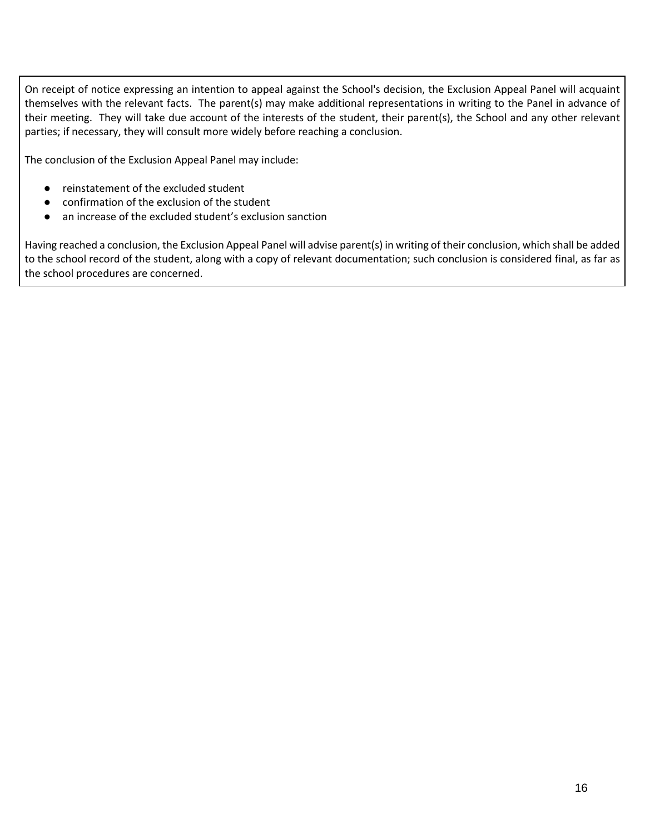On receipt of notice expressing an intention to appeal against the School's decision, the Exclusion Appeal Panel will acquaint themselves with the relevant facts. The parent(s) may make additional representations in writing to the Panel in advance of their meeting. They will take due account of the interests of the student, their parent(s), the School and any other relevant parties; if necessary, they will consult more widely before reaching a conclusion.

The conclusion of the Exclusion Appeal Panel may include:

- reinstatement of the excluded student
- confirmation of the exclusion of the student
- an increase of the excluded student's exclusion sanction

Having reached a conclusion, the Exclusion Appeal Panel will advise parent(s) in writing of their conclusion, which shall be added to the school record of the student, along with a copy of relevant documentation; such conclusion is considered final, as far as the school procedures are concerned.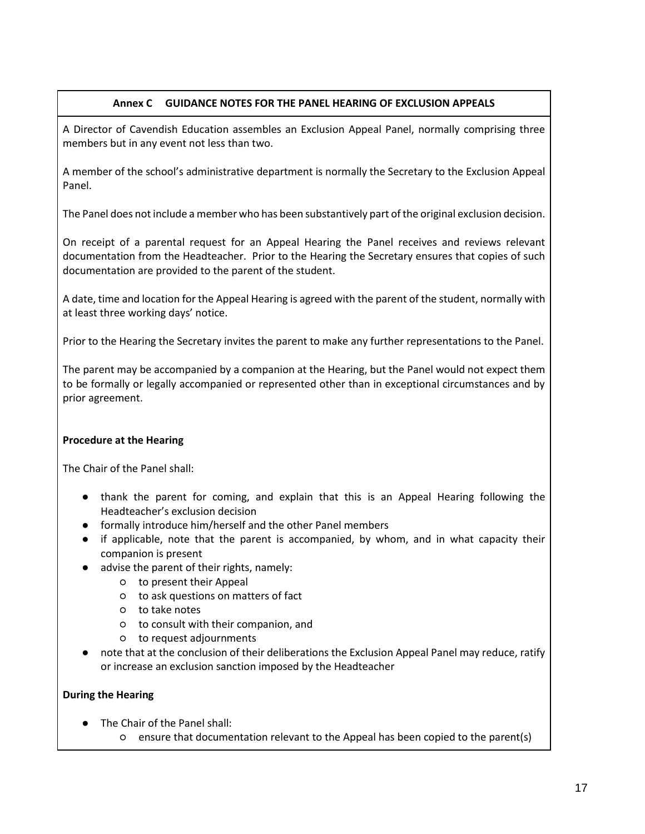# **Annex C GUIDANCE NOTES FOR THE PANEL HEARING OF EXCLUSION APPEALS**

A Director of Cavendish Education assembles an Exclusion Appeal Panel, normally comprising three members but in any event not less than two.

A member of the school's administrative department is normally the Secretary to the Exclusion Appeal Panel.

The Panel does not include a member who has been substantively part of the original exclusion decision.

On receipt of a parental request for an Appeal Hearing the Panel receives and reviews relevant documentation from the Headteacher. Prior to the Hearing the Secretary ensures that copies of such documentation are provided to the parent of the student.

A date, time and location for the Appeal Hearing is agreed with the parent of the student, normally with at least three working days' notice.

Prior to the Hearing the Secretary invites the parent to make any further representations to the Panel.

The parent may be accompanied by a companion at the Hearing, but the Panel would not expect them to be formally or legally accompanied or represented other than in exceptional circumstances and by prior agreement.

# **Procedure at the Hearing**

The Chair of the Panel shall:

- thank the parent for coming, and explain that this is an Appeal Hearing following the Headteacher's exclusion decision
- formally introduce him/herself and the other Panel members
- if applicable, note that the parent is accompanied, by whom, and in what capacity their companion is present
- advise the parent of their rights, namely:
	- to present their Appeal
	- to ask questions on matters of fact
	- to take notes
	- to consult with their companion, and
	- to request adjournments
- note that at the conclusion of their deliberations the Exclusion Appeal Panel may reduce, ratify or increase an exclusion sanction imposed by the Headteacher

## **During the Hearing**

- The Chair of the Panel shall:
	- ensure that documentation relevant to the Appeal has been copied to the parent(s)